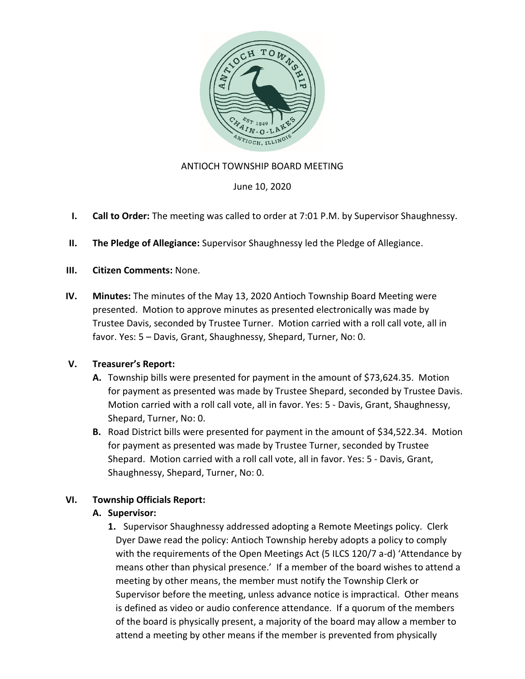

## ANTIOCH TOWNSHIP BOARD MEETING

June 10, 2020

- **I. Call to Order:** The meeting was called to order at 7:01 P.M. by Supervisor Shaughnessy.
- **II. The Pledge of Allegiance:** Supervisor Shaughnessy led the Pledge of Allegiance.
- **III. Citizen Comments:** None.
- **IV. Minutes:** The minutes of the May 13, 2020 Antioch Township Board Meeting were presented. Motion to approve minutes as presented electronically was made by Trustee Davis, seconded by Trustee Turner. Motion carried with a roll call vote, all in favor. Yes: 5 – Davis, Grant, Shaughnessy, Shepard, Turner, No: 0.

## **V. Treasurer's Report:**

- **A.** Township bills were presented for payment in the amount of \$73,624.35. Motion for payment as presented was made by Trustee Shepard, seconded by Trustee Davis. Motion carried with a roll call vote, all in favor. Yes: 5 - Davis, Grant, Shaughnessy, Shepard, Turner, No: 0.
- **B.** Road District bills were presented for payment in the amount of \$34,522.34. Motion for payment as presented was made by Trustee Turner, seconded by Trustee Shepard. Motion carried with a roll call vote, all in favor. Yes: 5 - Davis, Grant, Shaughnessy, Shepard, Turner, No: 0.

# **VI. Township Officials Report:**

## **A. Supervisor:**

**1.** Supervisor Shaughnessy addressed adopting a Remote Meetings policy. Clerk Dyer Dawe read the policy: Antioch Township hereby adopts a policy to comply with the requirements of the Open Meetings Act (5 ILCS 120/7 a-d) 'Attendance by means other than physical presence.' If a member of the board wishes to attend a meeting by other means, the member must notify the Township Clerk or Supervisor before the meeting, unless advance notice is impractical. Other means is defined as video or audio conference attendance. If a quorum of the members of the board is physically present, a majority of the board may allow a member to attend a meeting by other means if the member is prevented from physically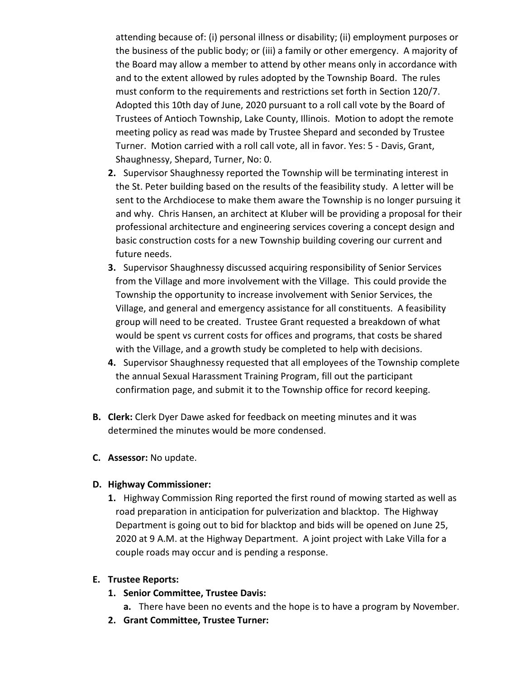attending because of: (i) personal illness or disability; (ii) employment purposes or the business of the public body; or (iii) a family or other emergency. A majority of the Board may allow a member to attend by other means only in accordance with and to the extent allowed by rules adopted by the Township Board. The rules must conform to the requirements and restrictions set forth in Section 120/7. Adopted this 10th day of June, 2020 pursuant to a roll call vote by the Board of Trustees of Antioch Township, Lake County, Illinois. Motion to adopt the remote meeting policy as read was made by Trustee Shepard and seconded by Trustee Turner. Motion carried with a roll call vote, all in favor. Yes: 5 - Davis, Grant, Shaughnessy, Shepard, Turner, No: 0.

- **2.** Supervisor Shaughnessy reported the Township will be terminating interest in the St. Peter building based on the results of the feasibility study. A letter will be sent to the Archdiocese to make them aware the Township is no longer pursuing it and why. Chris Hansen, an architect at Kluber will be providing a proposal for their professional architecture and engineering services covering a concept design and basic construction costs for a new Township building covering our current and future needs.
- **3.** Supervisor Shaughnessy discussed acquiring responsibility of Senior Services from the Village and more involvement with the Village. This could provide the Township the opportunity to increase involvement with Senior Services, the Village, and general and emergency assistance for all constituents. A feasibility group will need to be created. Trustee Grant requested a breakdown of what would be spent vs current costs for offices and programs, that costs be shared with the Village, and a growth study be completed to help with decisions.
- **4.** Supervisor Shaughnessy requested that all employees of the Township complete the annual Sexual Harassment Training Program, fill out the participant confirmation page, and submit it to the Township office for record keeping.
- **B. Clerk:** Clerk Dyer Dawe asked for feedback on meeting minutes and it was determined the minutes would be more condensed.
- **C. Assessor:** No update.

## **D. Highway Commissioner:**

**1.** Highway Commission Ring reported the first round of mowing started as well as road preparation in anticipation for pulverization and blacktop. The Highway Department is going out to bid for blacktop and bids will be opened on June 25, 2020 at 9 A.M. at the Highway Department. A joint project with Lake Villa for a couple roads may occur and is pending a response.

#### **E. Trustee Reports:**

- **1. Senior Committee, Trustee Davis:**
	- **a.** There have been no events and the hope is to have a program by November.
- **2. Grant Committee, Trustee Turner:**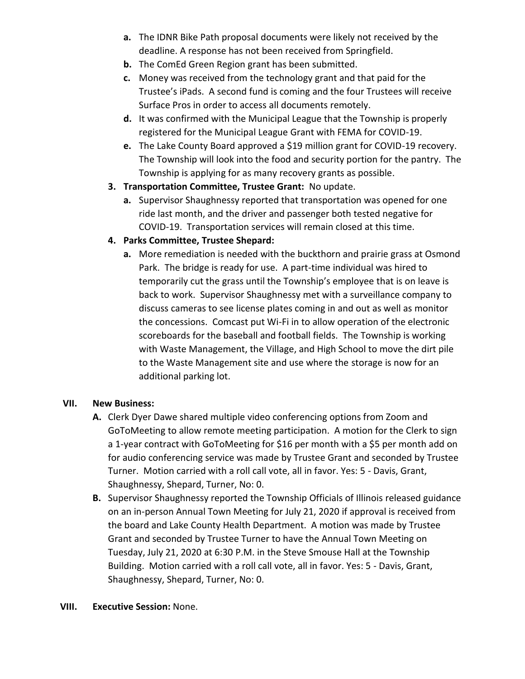- **a.** The IDNR Bike Path proposal documents were likely not received by the deadline. A response has not been received from Springfield.
- **b.** The ComEd Green Region grant has been submitted.
- **c.** Money was received from the technology grant and that paid for the Trustee's iPads. A second fund is coming and the four Trustees will receive Surface Pros in order to access all documents remotely.
- **d.** It was confirmed with the Municipal League that the Township is properly registered for the Municipal League Grant with FEMA for COVID-19.
- **e.** The Lake County Board approved a \$19 million grant for COVID-19 recovery. The Township will look into the food and security portion for the pantry. The Township is applying for as many recovery grants as possible.
- **3. Transportation Committee, Trustee Grant:** No update.
	- **a.** Supervisor Shaughnessy reported that transportation was opened for one ride last month, and the driver and passenger both tested negative for COVID-19. Transportation services will remain closed at this time.

# **4. Parks Committee, Trustee Shepard:**

**a.** More remediation is needed with the buckthorn and prairie grass at Osmond Park. The bridge is ready for use. A part-time individual was hired to temporarily cut the grass until the Township's employee that is on leave is back to work. Supervisor Shaughnessy met with a surveillance company to discuss cameras to see license plates coming in and out as well as monitor the concessions. Comcast put Wi-Fi in to allow operation of the electronic scoreboards for the baseball and football fields. The Township is working with Waste Management, the Village, and High School to move the dirt pile to the Waste Management site and use where the storage is now for an additional parking lot.

# **VII. New Business:**

- **A.** Clerk Dyer Dawe shared multiple video conferencing options from Zoom and GoToMeeting to allow remote meeting participation. A motion for the Clerk to sign a 1-year contract with GoToMeeting for \$16 per month with a \$5 per month add on for audio conferencing service was made by Trustee Grant and seconded by Trustee Turner. Motion carried with a roll call vote, all in favor. Yes: 5 - Davis, Grant, Shaughnessy, Shepard, Turner, No: 0.
- **B.** Supervisor Shaughnessy reported the Township Officials of Illinois released guidance on an in-person Annual Town Meeting for July 21, 2020 if approval is received from the board and Lake County Health Department. A motion was made by Trustee Grant and seconded by Trustee Turner to have the Annual Town Meeting on Tuesday, July 21, 2020 at 6:30 P.M. in the Steve Smouse Hall at the Township Building. Motion carried with a roll call vote, all in favor. Yes: 5 - Davis, Grant, Shaughnessy, Shepard, Turner, No: 0.

## **VIII. Executive Session:** None.